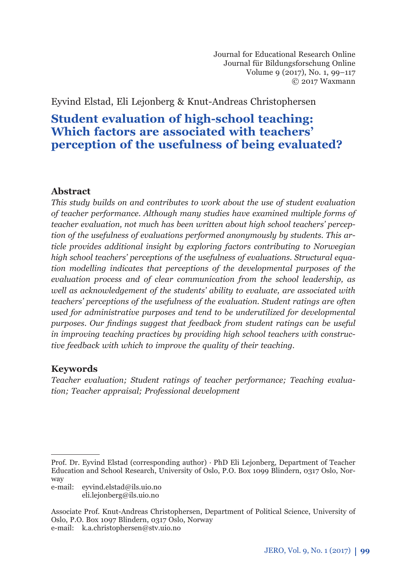Journal for Educational Research Online Journal für Bildungsforschung Online Volume 9 (2017), No. 1, 99–117 © 2017 Waxmann

Eyvind Elstad, Eli Lejonberg & Knut-Andreas Christophersen

# **Student evaluation of high-school teaching: Which factors are associated with teachers' perception of the usefulness of being evaluated?**

### **Abstract**

*This study builds on and contributes to work about the use of student evaluation of teacher performance. Although many studies have examined multiple forms of teacher evaluation, not much has been written about high school teachers' perception of the usefulness of evaluations performed anonymously by students. This article provides additional insight by exploring factors contributing to Norwegian high school teachers' perceptions of the usefulness of evaluations. Structural equation modelling indicates that perceptions of the developmental purposes of the evaluation process and of clear communication from the school leadership, as well as acknowledgement of the students' ability to evaluate, are associated with teachers' perceptions of the usefulness of the evaluation. Student ratings are often used for administrative purposes and tend to be underutilized for developmental*  purposes. Our findings suggest that feedback from student ratings can be useful *in improving teaching practices by providing high school teachers with constructive feedback with which to improve the quality of their teaching.*

### **Keywords**

*Teacher evaluation; Student ratings of teacher performance; Teaching evaluation; Teacher appraisal; Professional development*

e-mail: eyvind.elstad@ils.uio.no eli.lejonberg@ils.uio.no

Prof. Dr. Eyvind Elstad (corresponding author) · PhD Eli Lejonberg, Department of Teacher Education and School Research, University of Oslo, P.O. Box 1099 Blindern, 0317 Oslo, Norway

Associate Prof. Knut-Andreas Christophersen, Department of Political Science, University of Oslo, P.O. Box 1097 Blindern, 0317 Oslo, Norway e-mail: k.a.christophersen@stv.uio.no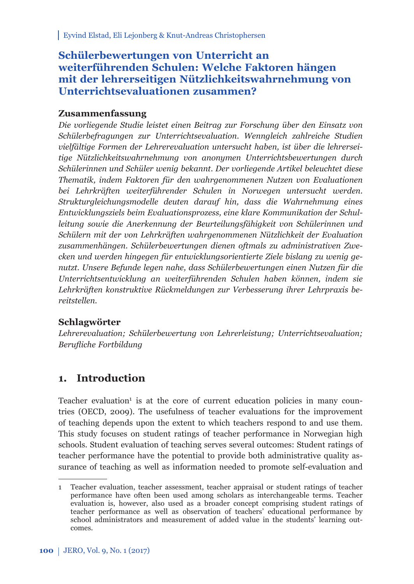# **Schülerbewertungen von Unterricht an weiterführenden Schulen: Welche Faktoren hängen mit der lehrerseitigen Nützlichkeitswahrnehmung von Unterrichtsevaluationen zusammen?**

### **Zusammenfassung**

*Die vorliegende Studie leistet einen Beitrag zur Forschung über den Einsatz von Schülerbefragungen zur Unterrichtsevaluation. Wenngleich zahlreiche Studien vielfältige Formen der Lehrerevaluation untersucht haben, ist über die lehrerseitige Nütz lichkeitswahrnehmung von anonymen Unterrichtsbewertungen durch Schülerinnen und Schüler wenig bekannt. Der vorliegende Artikel beleuchtet diese Thematik, indem Faktoren für den wahrgenommenen Nutzen von Evaluationen bei Lehr kräften weiterführender Schulen in Norwegen untersucht werden. Struktur gleichungsmodelle deuten darauf hin, dass die Wahrnehmung eines Entwick lungsziels beim Evaluationsprozess, eine klare Kommunikation der Schulleitung sowie die Anerkennung der Beurteilungsfähigkeit von Schülerinnen und Schülern mit der von Lehrkräften wahrgenommenen Nützlichkeit der Evaluation zu sam menhängen. Schülerbewertungen dienen oftmals zu administrativen Zwecken und werden hingegen für entwicklungsorientierte Ziele bislang zu wenig genutzt. Unsere Befunde legen nahe, dass Schülerbewertungen einen Nutzen für die Unterrichtsentwicklung an weiterführenden Schulen haben können, indem sie Lehr kräften konstruktive Rückmeldungen zur Verbesserung ihrer Lehrpraxis bereitstellen.* 

### **Schlagwörter**

*Lehrerevaluation; Schülerbewertung von Lehrerleistung; Unterrichtsevaluation; Berufl iche Fortbildung*

# **1. Introduction**

Teacher evaluation<sup>1</sup> is at the core of current education policies in many countries (OECD, 2009). The usefulness of teacher evaluations for the improvement of teaching depends upon the extent to which teachers respond to and use them. This study focuses on student ratings of teacher performance in Norwegian high schools. Student evaluation of teaching serves several outcomes: Student ratings of teacher performance have the potential to provide both administrative quality assurance of teaching as well as information needed to promote self-evaluation and

<sup>1</sup> Teacher evaluation, teacher assessment, teacher appraisal or student ratings of teacher performance have often been used among scholars as interchangeable terms. Teacher evaluation is, however, also used as a broader concept comprising student ratings of teacher performance as well as observation of teachers' educational performance by school administrators and measurement of added value in the students' learning outcomes.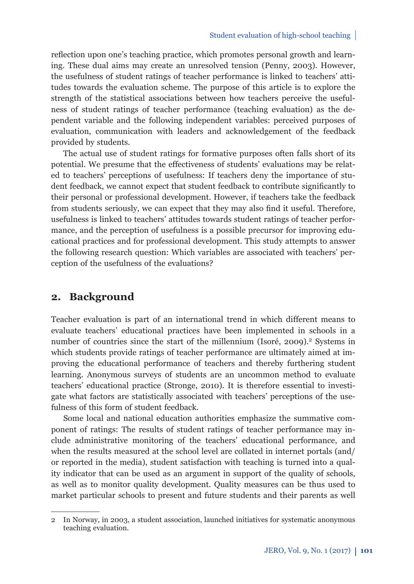reflection upon one's teaching practice, which promotes personal growth and learning. These dual aims may create an unresolved tension (Penny, 2003). However, the usefulness of student ratings of teacher performance is linked to teachers' attitudes towards the evaluation scheme. The purpose of this article is to explore the strength of the statistical associations between how teachers perceive the usefulness of student ratings of teacher performance (teaching evaluation) as the dependent variable and the following independent variables: perceived purposes of evaluation, communication with leaders and acknowledgement of the feedback provided by students.

The actual use of student ratings for formative purposes often falls short of its potential. We presume that the effectiveness of students' evaluations may be related to teachers' perceptions of usefulness: If teachers deny the importance of student feedback, we cannot expect that student feedback to contribute significantly to their personal or professional development. However, if teachers take the feedback from students seriously, we can expect that they may also find it useful. Therefore, usefulness is linked to teachers' attitudes towards student ratings of teacher performance, and the perception of usefulness is a possible precursor for improving educational practices and for professional development. This study attempts to answer the following research question: Which variables are associated with teachers' perception of the usefulness of the evaluations?

### **2. Background**

Teacher evaluation is part of an international trend in which different means to evaluate teachers' educational practices have been implemented in schools in a number of countries since the start of the millennium (Isoré, 2009).<sup>2</sup> Systems in which students provide ratings of teacher performance are ultimately aimed at improving the educational performance of teachers and thereby furthering student learning. Anonymous surveys of students are an uncommon method to evaluate teachers' educational practice (Stronge, 2010). It is therefore essential to investigate what factors are statistically associated with teachers' perceptions of the usefulness of this form of student feedback.

Some local and national education authorities emphasize the summative component of ratings: The results of student ratings of teacher performance may include administrative monitoring of the teachers' educational performance, and when the results measured at the school level are collated in internet portals (and/ or reported in the media), student satisfaction with teaching is turned into a quality indicator that can be used as an argument in support of the quality of schools, as well as to monitor quality development. Quality measures can be thus used to market particular schools to present and future students and their parents as well

<sup>2</sup> In Norway, in 2003, a student association, launched initiatives for systematic anonymous teaching evaluation.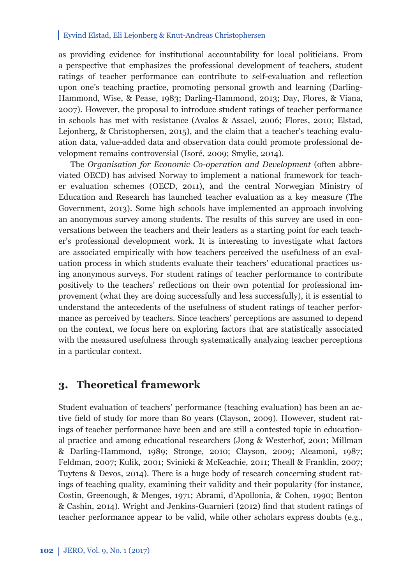as providing evidence for institutional accountability for local politicians. From a perspective that emphasizes the professional development of teachers, student ratings of teacher performance can contribute to self-evaluation and reflection upon one's teaching practice, promoting personal growth and learning (Darling-Hammond, Wise, & Pease, 1983; Darling-Hammond, 2013; Day, Flores, & Viana, 2007). However, the proposal to introduce student ratings of teacher performance in schools has met with resistance (Avalos & Assael, 2006; Flores, 2010; Elstad, Lejonberg, & Christophersen, 2015), and the claim that a teacher's teaching evaluation data, value-added data and observation data could promote professional development remains controversial (Isoré, 2009; Smylie, 2014).

The *Organisation for Economic Co-operation and Development* (often abbreviated OECD) has advised Norway to implement a national framework for teacher evaluation schemes (OECD, 2011), and the central Norwegian Ministry of Education and Research has launched teacher evaluation as a key measure (The Government, 2013). Some high schools have implemented an approach involving an anonymous survey among students. The results of this survey are used in conversations between the teachers and their leaders as a starting point for each teacher's professional development work. It is interesting to investigate what factors are associated empirically with how teachers perceived the usefulness of an evaluation process in which students evaluate their teachers' educational practices using anonymous surveys. For student ratings of teacher performance to contribute positively to the teachers' reflections on their own potential for professional improvement (what they are doing successfully and less successfully), it is essential to understand the antecedents of the usefulness of student ratings of teacher performance as perceived by teachers. Since teachers' perceptions are assumed to depend on the context, we focus here on exploring factors that are statistically associated with the measured usefulness through systematically analyzing teacher perceptions in a particular context.

### **3. Theoretical framework**

Student evaluation of teachers' performance (teaching evaluation) has been an active field of study for more than 80 years (Clayson, 2009). However, student ratings of teacher performance have been and are still a contested topic in educational practice and among educational researchers (Jong & Westerhof, 2001; Millman & Darling-Hammond, 1989; Stronge, 2010; Clayson, 2009; Aleamoni, 1987; Feldman, 2007; Kulik, 2001; Svinicki & McKeachie, 2011; Theall & Franklin, 2007; Tuytens & Devos, 2014). There is a huge body of research concerning student ratings of teaching quality, examining their validity and their popularity (for instance, Costin, Greenough, & Menges, 1971; Abrami, d'Apollonia, & Cohen, 1990; Benton & Cashin, 2014). Wright and Jenkins-Guarnieri (2012) find that student ratings of teacher performance appear to be valid, while other scholars express doubts (e.g.,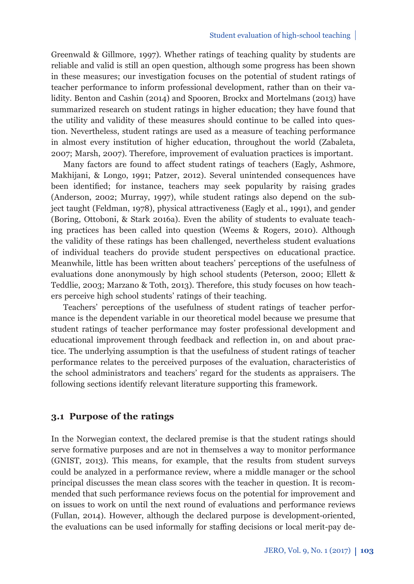Greenwald & Gillmore, 1997). Whether ratings of teaching quality by students are reliable and valid is still an open question, although some progress has been shown in these measures; our investigation focuses on the potential of student ratings of teacher performance to inform professional development, rather than on their validity. Benton and Cashin (2014) and Spooren, Brockx and Mortelmans (2013) have summarized research on student ratings in higher education; they have found that the utility and validity of these measures should continue to be called into question. Nevertheless, student ratings are used as a measure of teaching performance in almost every institution of higher education, throughout the world (Zabaleta, 2007; Marsh, 2007). Therefore, improvement of evaluation practices is important.

Many factors are found to affect student ratings of teachers (Eagly, Ashmore, Makhijani, & Longo, 1991; Patzer, 2012). Several unintended consequences have been identified; for instance, teachers may seek popularity by raising grades (Anderson, 2002; Murray, 1997), while student ratings also depend on the subject taught (Feldman, 1978), physical attractiveness (Eagly et al., 1991), and gender (Boring, Ottoboni, & Stark 2016a). Even the ability of students to evaluate teaching practices has been called into question (Weems & Rogers, 2010). Although the validity of these ratings has been challenged, nevertheless student evaluations of individual teachers do provide student perspectives on educational practice. Meanwhile, little has been written about teachers' perceptions of the usefulness of evaluations done anonymously by high school students (Peterson, 2000; Ellett & Teddlie, 2003; Marzano & Toth, 2013). Therefore, this study focuses on how teachers perceive high school students' ratings of their teaching.

Teachers' perceptions of the usefulness of student ratings of teacher performance is the dependent variable in our theoretical model because we presume that student ratings of teacher performance may foster professional development and educational improvement through feedback and reflection in, on and about practice. The underlying assumption is that the usefulness of student ratings of teacher performance relates to the perceived purposes of the evaluation, characteristics of the school administrators and teachers' regard for the students as appraisers. The following sections identify relevant literature supporting this framework.

#### **3.1 Purpose of the ratings**

In the Norwegian context, the declared premise is that the student ratings should serve formative purposes and are not in themselves a way to monitor performance (GNIST, 2013). This means, for example, that the results from student surveys could be analyzed in a performance review, where a middle manager or the school principal discusses the mean class scores with the teacher in question. It is recommended that such performance reviews focus on the potential for improvement and on issues to work on until the next round of evaluations and performance reviews (Fullan, 2014). However, although the declared purpose is development-oriented, the evaluations can be used informally for staffing decisions or local merit-pay de-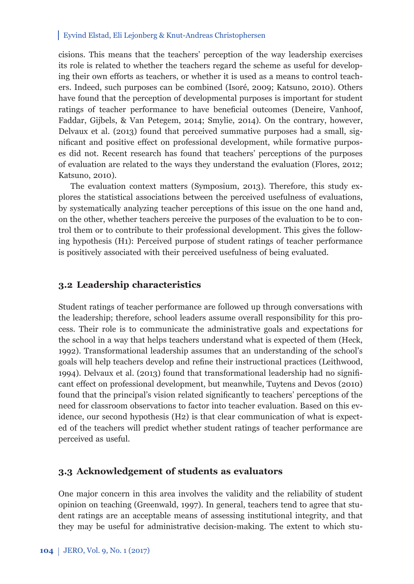cisions. This means that the teachers' perception of the way leadership exercises its role is related to whether the teachers regard the scheme as useful for developing their own efforts as teachers, or whether it is used as a means to control teachers. Indeed, such purposes can be combined (Isoré, 2009; Katsuno, 2010). Others have found that the perception of developmental purposes is important for student ratings of teacher performance to have beneficial outcomes (Deneire, Vanhoof, Faddar, Gijbels, & Van Petegem, 2014; Smylie, 2014). On the contrary, however, Delvaux et al. (2013) found that perceived summative purposes had a small, significant and positive effect on professional development, while formative purposes did not. Recent research has found that teachers' perceptions of the purposes of evaluation are related to the ways they understand the evaluation (Flores, 2012; Katsuno, 2010).

The evaluation context matters (Symposium, 2013). Therefore, this study explores the statistical associations between the perceived usefulness of evaluations, by systematically analyzing teacher perceptions of this issue on the one hand and, on the other, whether teachers perceive the purposes of the evaluation to be to control them or to contribute to their professional development. This gives the following hypothesis (H1): Perceived purpose of student ratings of teacher performance is positively associated with their perceived usefulness of being evaluated.

#### **3.2 Leadership characteristics**

Student ratings of teacher performance are followed up through conversations with the leadership; therefore, school leaders assume overall responsibility for this process. Their role is to communicate the administrative goals and expectations for the school in a way that helps teachers understand what is expected of them (Heck, 1992). Transformational leadership assumes that an understanding of the school's goals will help teachers develop and refine their instructional practices (Leithwood, 1994). Delvaux et al. (2013) found that transformational leadership had no signifi cant effect on professional development, but meanwhile, Tuytens and Devos (2010) found that the principal's vision related significantly to teachers' perceptions of the need for classroom observations to factor into teacher evaluation. Based on this evidence, our second hypothesis (H2) is that clear communication of what is expected of the teachers will predict whether student ratings of teacher performance are perceived as useful.

#### **3.3 Acknowledgement of students as evaluators**

One major concern in this area involves the validity and the reliability of student opinion on teaching (Greenwald, 1997). In general, teachers tend to agree that student ratings are an acceptable means of assessing institutional integrity, and that they may be useful for administrative decision-making. The extent to which stu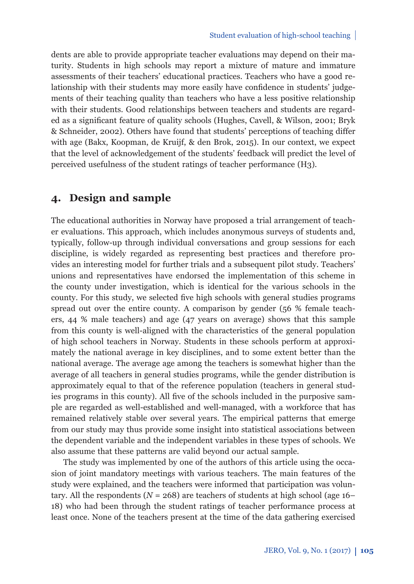dents are able to provide appropriate teacher evaluations may depend on their maturity. Students in high schools may report a mixture of mature and immature assessments of their teachers' educational practices. Teachers who have a good relationship with their students may more easily have confidence in students' judgements of their teaching quality than teachers who have a less positive relationship with their students. Good relationships between teachers and students are regarded as a significant feature of quality schools (Hughes, Cavell, & Wilson, 2001; Bryk & Schneider, 2002). Others have found that students' perceptions of teaching differ with age (Bakx, Koopman, de Kruijf, & den Brok, 2015). In our context, we expect that the level of acknowledgement of the students' feedback will predict the level of perceived usefulness of the student ratings of teacher performance (H3).

## **4. Design and sample**

The educational authorities in Norway have proposed a trial arrangement of teacher evaluations. This approach, which includes anonymous surveys of students and, typically, follow-up through individual conversations and group sessions for each discipline, is widely regarded as representing best practices and therefore provides an interesting model for further trials and a subsequent pilot study. Teachers' unions and representatives have endorsed the implementation of this scheme in the county under investigation, which is identical for the various schools in the county. For this study, we selected five high schools with general studies programs spread out over the entire county. A comparison by gender (56 % female teachers, 44 % male teachers) and age (47 years on average) shows that this sample from this county is well-aligned with the characteristics of the general population of high school teachers in Norway. Students in these schools perform at approximately the national average in key disciplines, and to some extent better than the national average. The average age among the teachers is somewhat higher than the average of all teachers in general studies programs, while the gender distribution is approximately equal to that of the reference population (teachers in general studies programs in this county). All five of the schools included in the purposive sample are regarded as well-established and well-managed, with a workforce that has remained relatively stable over several years. The empirical patterns that emerge from our study may thus provide some insight into statistical associations between the dependent variable and the independent variables in these types of schools. We also assume that these patterns are valid beyond our actual sample.

The study was implemented by one of the authors of this article using the occasion of joint mandatory meetings with various teachers. The main features of the study were explained, and the teachers were informed that participation was voluntary. All the respondents ( $N = 268$ ) are teachers of students at high school (age 16– 18) who had been through the student ratings of teacher performance process at least once. None of the teachers present at the time of the data gathering exercised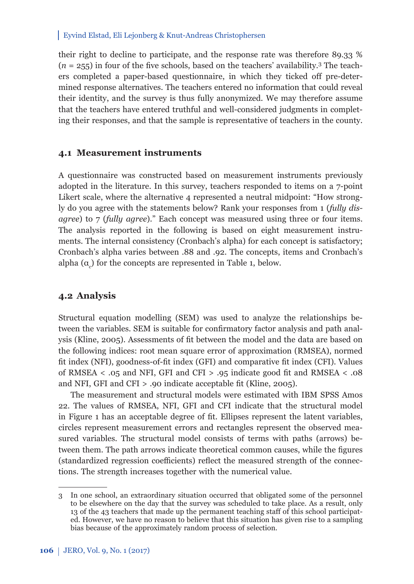their right to decline to participate, and the response rate was therefore 89.33 %  $(n = 255)$  in four of the five schools, based on the teachers' availability.<sup>3</sup> The teachers completed a paper-based questionnaire, in which they ticked off pre-determined response alternatives. The teachers entered no information that could reveal their identity, and the survey is thus fully anonymized. We may therefore assume that the teachers have entered truthful and well-considered judgments in completing their responses, and that the sample is representative of teachers in the county.

#### **4.1 Measurement instruments**

A questionnaire was constructed based on measurement instruments previously adopted in the literature. In this survey, teachers responded to items on a 7-point Likert scale, where the alternative 4 represented a neutral midpoint: "How strongly do you agree with the statements below? Rank your responses from 1 (*fully disagree*) to 7 (*fully agree*)." Each concept was measured using three or four items. The analysis reported in the following is based on eight measurement instruments. The internal consistency (Cronbach's alpha) for each concept is satisfactory; Cronbach's alpha varies between .88 and .92. The concepts, items and Cronbach's alpha  $(\alpha_c)$  for the concepts are represented in Table 1, below.

### **4.2 Analysis**

Structural equation modelling (SEM) was used to analyze the relationships between the variables. SEM is suitable for confirmatory factor analysis and path analysis (Kline, 2005). Assessments of fi t between the model and the data are based on the following indices: root mean square error of approximation (RMSEA), normed fit index (NFI), goodness-of-fit index (GFI) and comparative fit index (CFI). Values of RMSEA  $\leq$  .05 and NFI, GFI and CFI  $>$  .95 indicate good fit and RMSEA  $\leq$  .08 and NFI, GFI and CFI  $> 0.90$  indicate acceptable fit (Kline, 2005).

The measurement and structural models were estimated with IBM SPSS Amos 22. The values of RMSEA, NFI, GFI and CFI indicate that the structural model in Figure 1 has an acceptable degree of fit. Ellipses represent the latent variables, circles represent measurement errors and rectangles represent the observed measured variables. The structural model consists of terms with paths (arrows) between them. The path arrows indicate theoretical common causes, while the figures (standardized regression coefficients) reflect the measured strength of the connections. The strength increases together with the numerical value.

<sup>3</sup> In one school, an extraordinary situation occurred that obligated some of the personnel to be elsewhere on the day that the survey was scheduled to take place. As a result, only 13 of the 43 teachers that made up the permanent teaching staff of this school participated. However, we have no reason to believe that this situation has given rise to a sampling bias because of the approximately random process of selection.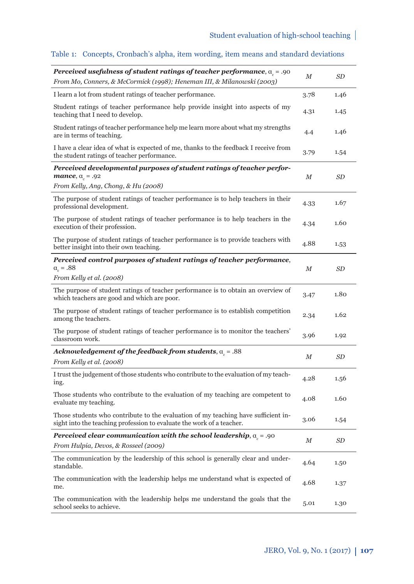| Perceived usefulness of student ratings of teacher performance, $a_{\rho} = .90$<br>From Mo, Conners, & McCormick (1998); Heneman III, & Milanowski (2003)  | M    | SD   |
|-------------------------------------------------------------------------------------------------------------------------------------------------------------|------|------|
| I learn a lot from student ratings of teacher performance.                                                                                                  | 3.78 | 1.46 |
| Student ratings of teacher performance help provide insight into aspects of my<br>teaching that I need to develop.                                          | 4.31 | 1.45 |
| Student ratings of teacher performance help me learn more about what my strengths<br>are in terms of teaching.                                              | 4.4  | 1.46 |
| I have a clear idea of what is expected of me, thanks to the feedback I receive from<br>the student ratings of teacher performance.                         | 3.79 | 1.54 |
| Perceived developmental purposes of student ratings of teacher perfor-<br>mance, $a_s = .92$<br>From Kelly, Ang, Chong, & Hu (2008)                         | М    | SD   |
| The purpose of student ratings of teacher performance is to help teachers in their<br>professional development.                                             | 4.33 | 1.67 |
| The purpose of student ratings of teacher performance is to help teachers in the<br>execution of their profession.                                          | 4.34 | 1.60 |
| The purpose of student ratings of teacher performance is to provide teachers with<br>better insight into their own teaching.                                | 4.88 | 1.53 |
| Perceived control purposes of student ratings of teacher performance,<br>$\alpha_{\rm c} = .88$<br>From Kelly et al. (2008)                                 | М    | SD   |
| The purpose of student ratings of teacher performance is to obtain an overview of<br>which teachers are good and which are poor.                            | 3.47 | 1.80 |
| The purpose of student ratings of teacher performance is to establish competition<br>among the teachers.                                                    | 2.34 | 1.62 |
| The purpose of student ratings of teacher performance is to monitor the teachers'<br>classroom work.                                                        | 3.96 | 1.92 |
| Acknowledgement of the feedback from students, $\alpha_{\rm c}$ = .88                                                                                       | М    | SD   |
| From Kelly et al. (2008)                                                                                                                                    |      |      |
| I trust the judgement of those students who contribute to the evaluation of my teach-<br>ing.                                                               | 4.28 | 1.56 |
| Those students who contribute to the evaluation of my teaching are competent to<br>evaluate my teaching.                                                    | 4.08 | 1.60 |
| Those students who contribute to the evaluation of my teaching have sufficient in-<br>sight into the teaching profession to evaluate the work of a teacher. | 3.06 | 1.54 |
| Perceived clear communication with the school leadership, $\alpha_{\rm c}$ = .90                                                                            | М    | SD   |
| From Hulpia, Devos, & Rosseel (2009)                                                                                                                        |      |      |
| The communication by the leadership of this school is generally clear and under-<br>standable.                                                              | 4.64 | 1.50 |
| The communication with the leadership helps me understand what is expected of<br>me.                                                                        | 4.68 | 1.37 |
| The communication with the leadership helps me understand the goals that the<br>school seeks to achieve.                                                    | 5.01 | 1.30 |

### Table 1: Concepts, Cronbach's alpha, item wording, item means and standard deviations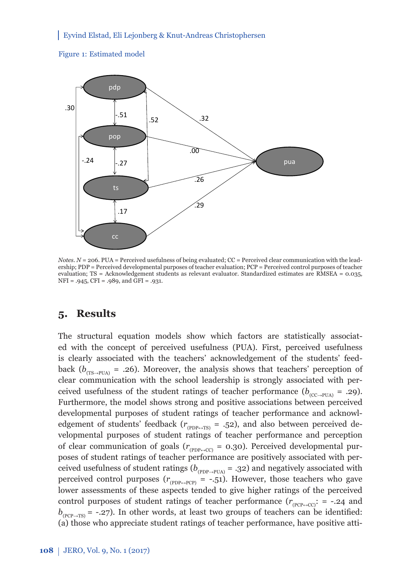



*Notes.*  $N = 206$ . PUA = Perceived usefulness of being evaluated; CC = Perceived clear communication with the leadership; PDP = Perceived developmental purposes of teacher evaluation; PCP = Perceived control purposes of teacher evaluation; TS = Acknowledgement students as relevant evaluator. Standardized estimates are RMSEA = 0.035, NFI = .945, CFI = .989, and GFI = .931.

# **5. Results**

The structural equation models show which factors are statistically associated with the concept of perceived usefulness (PUA). First, perceived usefulness is clearly associated with the teachers' acknowledgement of the students' feedback ( $b_{(TS\rightarrow PUA)}$  = .26). Moreover, the analysis shows that teachers' perception of clear communication with the school leadership is strongly associated with perceived usefulness of the student ratings of teacher performance ( $b_{(CC\rightarrow\text{PIIA})}$  = .29). Furthermore, the model shows strong and positive associations between perceived developmental purposes of student ratings of teacher performance and acknowledgement of students' feedback ( $r_{(PPP\leftrightarrow TS)} = .52$ ), and also between perceived developmental purposes of student ratings of teacher performance and perception of clear communication of goals ( $r_{(PPP \leftrightarrow CC)} = 0.30$ ). Perceived developmental purposes of student ratings of teacher performance are positively associated with perceived usefulness of student ratings ( $b_{(PPP\rightarrow PUA)} = .32$ ) and negatively associated with perceived control purposes  $(r_{(PPP\leftrightarrow PCP)} = -.51)$ . However, those teachers who gave lower assessments of these aspects tended to give higher ratings of the perceived control purposes of student ratings of teacher performance  $(r_{(PCP \rightarrow CC)}: = -.24$  and  $b_{(PCP\rightarrow TS)}$  = -.27). In other words, at least two groups of teachers can be identified: (a) those who appreciate student ratings of teacher performance, have positive atti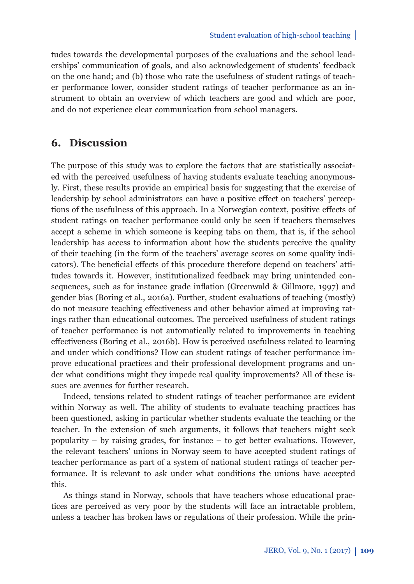tudes towards the developmental purposes of the evaluations and the school leaderships' communication of goals, and also acknowledgement of students' feedback on the one hand; and (b) those who rate the usefulness of student ratings of teacher performance lower, consider student ratings of teacher performance as an instrument to obtain an overview of which teachers are good and which are poor, and do not experience clear communication from school managers.

## **6. Discussion**

The purpose of this study was to explore the factors that are statistically associated with the perceived usefulness of having students evaluate teaching anonymously. First, these results provide an empirical basis for suggesting that the exercise of leadership by school administrators can have a positive effect on teachers' perceptions of the usefulness of this approach. In a Norwegian context, positive effects of student ratings on teacher performance could only be seen if teachers themselves accept a scheme in which someone is keeping tabs on them, that is, if the school leadership has access to information about how the students perceive the quality of their teaching (in the form of the teachers' average scores on some quality indicators). The beneficial effects of this procedure therefore depend on teachers' attitudes towards it. However, institutionalized feedback may bring unintended consequences, such as for instance grade inflation (Greenwald & Gillmore, 1997) and gender bias (Boring et al., 2016a). Further, student evaluations of teaching (mostly) do not measure teaching effectiveness and other behavior aimed at improving ratings rather than educational outcomes. The perceived usefulness of student ratings of teacher performance is not automatically related to improvements in teaching effectiveness (Boring et al., 2016b). How is perceived usefulness related to learning and under which conditions? How can student ratings of teacher performance improve educational practices and their professional development programs and under what conditions might they impede real quality improvements? All of these issues are avenues for further research.

Indeed, tensions related to student ratings of teacher performance are evident within Norway as well. The ability of students to evaluate teaching practices has been questioned, asking in particular whether students evaluate the teaching or the teacher. In the extension of such arguments, it follows that teachers might seek popularity  $-$  by raising grades, for instance  $-$  to get better evaluations. However, the relevant teachers' unions in Norway seem to have accepted student ratings of teacher performance as part of a system of national student ratings of teacher performance. It is relevant to ask under what conditions the unions have accepted this.

As things stand in Norway, schools that have teachers whose educational practices are perceived as very poor by the students will face an intractable problem, unless a teacher has broken laws or regulations of their profession. While the prin-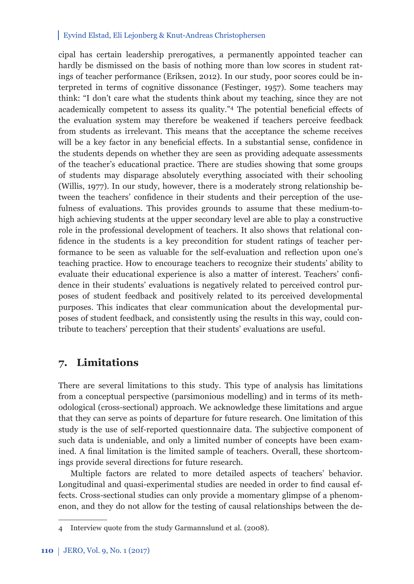cipal has certain leadership prerogatives, a permanently appointed teacher can hardly be dismissed on the basis of nothing more than low scores in student ratings of teacher performance (Eriksen, 2012). In our study, poor scores could be interpreted in terms of cognitive dissonance (Festinger, 1957). Some teachers may think: "I don't care what the students think about my teaching, since they are not academically competent to assess its quality." $4$  The potential beneficial effects of the evaluation system may therefore be weakened if teachers perceive feedback from students as irrelevant. This means that the acceptance the scheme receives will be a key factor in any beneficial effects. In a substantial sense, confidence in the students depends on whether they are seen as providing adequate assessments of the teacher's educational practice. There are studies showing that some groups of students may disparage absolutely everything associated with their schooling (Willis, 1977). In our study, however, there is a moderately strong relationship between the teachers' confidence in their students and their perception of the usefulness of evaluations. This provides grounds to assume that these medium-tohigh achieving students at the upper secondary level are able to play a constructive role in the professional development of teachers. It also shows that relational confidence in the students is a key precondition for student ratings of teacher performance to be seen as valuable for the self-evaluation and reflection upon one's teaching practice. How to encourage teachers to recognize their students' ability to evaluate their educational experience is also a matter of interest. Teachers' confidence in their students' evaluations is negatively related to perceived control purposes of student feedback and positively related to its perceived developmental purposes. This indicates that clear communication about the developmental purposes of student feedback, and consistently using the results in this way, could contribute to teachers' perception that their students' evaluations are useful.

## **7. Limitations**

There are several limitations to this study. This type of analysis has limitations from a conceptual perspective (parsimonious modelling) and in terms of its methodological (cross-sectional) approach. We acknowledge these limitations and argue that they can serve as points of departure for future research. One limitation of this study is the use of self-reported questionnaire data. The subjective component of such data is undeniable, and only a limited number of concepts have been examined. A final limitation is the limited sample of teachers. Overall, these shortcomings provide several directions for future research.

Multiple factors are related to more detailed aspects of teachers' behavior. Longitudinal and quasi-experimental studies are needed in order to find causal effects. Cross-sectional studies can only provide a momentary glimpse of a phenomenon, and they do not allow for the testing of causal relationships between the de-

<sup>4</sup> Interview quote from the study Garmannslund et al. (2008).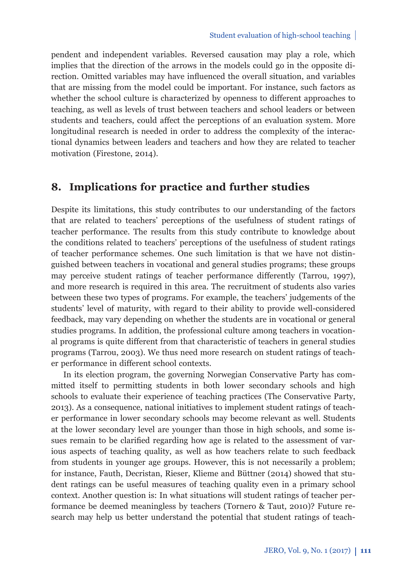pendent and independent variables. Reversed causation may play a role, which implies that the direction of the arrows in the models could go in the opposite direction. Omitted variables may have influenced the overall situation, and variables that are missing from the model could be important. For instance, such factors as whether the school culture is characterized by openness to different approaches to teaching, as well as levels of trust between teachers and school leaders or between students and teachers, could affect the perceptions of an evaluation system. More longitudinal research is needed in order to address the complexity of the interactional dynamics between leaders and teachers and how they are related to teacher motivation (Firestone, 2014).

# **8. Implications for practice and further studies**

Despite its limitations, this study contributes to our understanding of the factors that are related to teachers' perceptions of the usefulness of student ratings of teacher performance. The results from this study contribute to knowledge about the conditions related to teachers' perceptions of the usefulness of student ratings of teacher performance schemes. One such limitation is that we have not distinguished between teachers in vocational and general studies programs; these groups may perceive student ratings of teacher performance differently (Tarrou, 1997), and more research is required in this area. The recruitment of students also varies between these two types of programs. For example, the teachers' judgements of the students' level of maturity, with regard to their ability to provide well-considered feedback, may vary depending on whether the students are in vocational or general studies programs. In addition, the professional culture among teachers in vocational programs is quite different from that characteristic of teachers in general studies programs (Tarrou, 2003). We thus need more research on student ratings of teacher performance in different school contexts.

In its election program, the governing Norwegian Conservative Party has committed itself to permitting students in both lower secondary schools and high schools to evaluate their experience of teaching practices (The Conservative Party, 2013). As a consequence, national initiatives to implement student ratings of teacher performance in lower secondary schools may become relevant as well. Students at the lower secondary level are younger than those in high schools, and some issues remain to be clarified regarding how age is related to the assessment of various aspects of teaching quality, as well as how teachers relate to such feedback from students in younger age groups. However, this is not necessarily a problem; for instance, Fauth, Decristan, Rieser, Klieme and Büttner (2014) showed that student ratings can be useful measures of teaching quality even in a primary school context. Another question is: In what situations will student ratings of teacher performance be deemed meaningless by teachers (Tornero & Taut, 2010)? Future research may help us better understand the potential that student ratings of teach-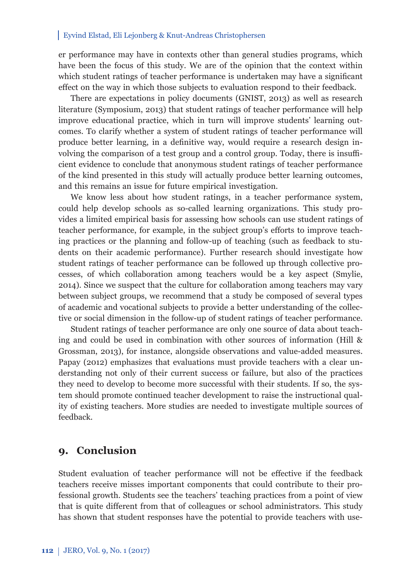er performance may have in contexts other than general studies programs, which have been the focus of this study. We are of the opinion that the context within which student ratings of teacher performance is undertaken may have a significant effect on the way in which those subjects to evaluation respond to their feedback.

There are expectations in policy documents (GNIST, 2013) as well as research literature (Symposium, 2013) that student ratings of teacher performance will help improve educational practice, which in turn will improve students' learning outcomes. To clarify whether a system of student ratings of teacher performance will produce better learning, in a definitive way, would require a research design involving the comparison of a test group and a control group. Today, there is insufficient evidence to conclude that anonymous student ratings of teacher performance of the kind presented in this study will actually produce better learning outcomes, and this remains an issue for future empirical investigation.

We know less about how student ratings, in a teacher performance system, could help develop schools as so-called learning organizations. This study provides a limited empirical basis for assessing how schools can use student ratings of teacher performance, for example, in the subject group's efforts to improve teaching practices or the planning and follow-up of teaching (such as feedback to students on their academic performance). Further research should investigate how student ratings of teacher performance can be followed up through collective processes, of which collaboration among teachers would be a key aspect (Smylie, 2014). Since we suspect that the culture for collaboration among teachers may vary between subject groups, we recommend that a study be composed of several types of academic and vocational subjects to provide a better understanding of the collective or social dimension in the follow-up of student ratings of teacher performance.

Student ratings of teacher performance are only one source of data about teaching and could be used in combination with other sources of information (Hill & Grossman, 2013), for instance, alongside observations and value-added measures. Papay (2012) emphasizes that evaluations must provide teachers with a clear understanding not only of their current success or failure, but also of the practices they need to develop to become more successful with their students. If so, the system should promote continued teacher development to raise the instructional quality of existing teachers. More studies are needed to investigate multiple sources of feedback.

### **9. Conclusion**

Student evaluation of teacher performance will not be effective if the feedback teachers receive misses important components that could contribute to their professional growth. Students see the teachers' teaching practices from a point of view that is quite different from that of colleagues or school administrators. This study has shown that student responses have the potential to provide teachers with use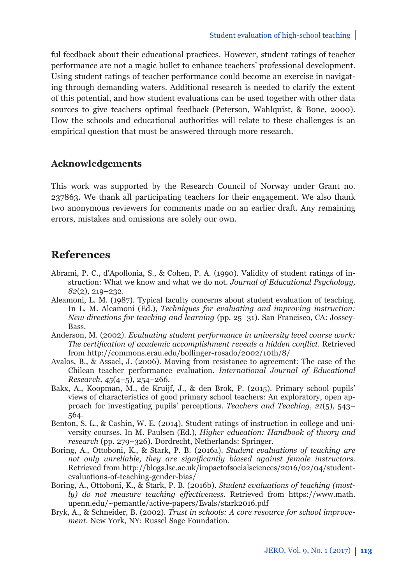ful feedback about their educational practices. However, student ratings of teacher performance are not a magic bullet to enhance teachers' professional development. Using student ratings of teacher performance could become an exercise in navigating through demanding waters. Additional research is needed to clarify the extent of this potential, and how student evaluations can be used together with other data sources to give teachers optimal feedback (Peterson, Wahlquist, & Bone, 2000). How the schools and educational authorities will relate to these challenges is an empirical question that must be answered through more research.

#### **Acknowledgements**

This work was supported by the Research Council of Norway under Grant no. 237863. We thank all participating teachers for their engagement. We also thank two anonymous reviewers for comments made on an earlier draft. Any remaining errors, mistakes and omissions are solely our own.

### **References**

- Abrami, P. C., d'Apollonia, S., & Cohen, P. A. (1990). Validity of student ratings of instruction: What we know and what we do not. *Journal of Educational Psychology, 82*(2), 219–232.
- Aleamoni, L. M. (1987). Typical faculty concerns about student evaluation of teaching. In L. M. Aleamoni (Ed.), *Techniques for evaluating and improving instruction: New directions for teaching and learning* (pp. 25*–*31). San Francisco, CA: Jossey-Bass.
- Anderson, M. (2002). *Evaluating student performance in university level course work: The certification of academic accomplishment reveals a hidden conflict. Retrieved* from http://commons.erau.edu/bollinger-rosado/2002/10th/8/
- Avalos, B., & Assael, J. (2006). Moving from resistance to agreement: The case of the Chilean teacher performance evaluation. *International Journal of Educational Research, 45*(4–5), 254–266.
- Bakx, A., Koopman, M., de Kruijf, J., & den Brok, P. (2015). Primary school pupils' views of characteristics of good primary school teachers: An exploratory, open approach for investigating pupils' perceptions. *Teachers and Teaching, 21*(5), 543– 564.
- Benton, S. L., & Cashin, W. E. (2014). Student ratings of instruction in college and university courses. In M. Paulsen (Ed.), *Higher education: Handbook of theory and research* (pp. 279*–*326). Dordrecht, Netherlands: Springer.
- Boring, A., Ottoboni, K., & Stark, P. B. (2016a). *Student evaluations of teaching are not only unreliable, they are significantly biased against female instructors.* Retrieved from http://blogs.lse.ac.uk/impactofsocialsciences/2016/02/04/studentevaluations-of-teaching-gender-bias/
- Boring, A., Ottoboni, K., & Stark, P. B. (2016b). *Student evaluations of teaching (mostly)* do not measure teaching effectiveness. Retrieved from https://www.math. upenn.edu/~pemantle/active-papers/Evals/stark2016.pdf
- Bryk, A., & Schneider, B. (2002). *Trust in schools: A core resource for school improvement.* New York, NY: Russel Sage Foundation.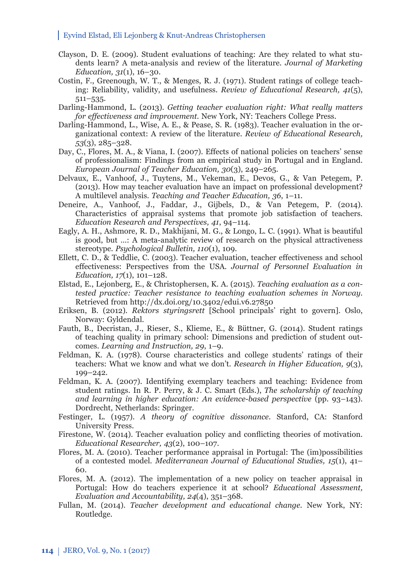- Clayson, D. E. (2009). Student evaluations of teaching: Are they related to what students learn? A meta-analysis and review of the literature. *Journal of Marketing Education, 31*(1), 16–30.
- Costin, F., Greenough, W. T., & Menges, R. J. (1971). Student ratings of college teaching: Reliability, validity, and usefulness. *Review of Educational Research, 41*(5), 511*–*535.
- Darling-Hammond, L. (2013). *Getting teacher evaluation right: What really matters for eff ectiveness and improvement.* New York, NY: Teachers College Press.
- Darling-Hammond, L., Wise, A. E., & Pease, S. R. (1983). Teacher evaluation in the organizational context: A review of the literature. *Review of Educational Research, 53*(3), 285–328.
- Day, C., Flores, M. A., & Viana, I. (2007). Effects of national policies on teachers' sense of professionalism: Findings from an empirical study in Portugal and in England. *European Journal of Teacher Education, 30*(3), 249–265.
- Delvaux, E., Vanhoof, J., Tuytens, M., Vekeman, E., Devos, G., & Van Petegem, P. (2013). How may teacher evaluation have an impact on professional development? A multilevel analysis. *Teaching and Teacher Education, 36*, 1–11.
- Deneire, A., Vanhoof, J., Faddar, J., Gijbels, D., & Van Petegem, P. (2014). Characteristics of appraisal systems that promote job satisfaction of teachers. *Education Research and Perspectives, 41*, 94–114.
- Eagly, A. H., Ashmore, R. D., Makhijani, M. G., & Longo, L. C. (1991). What is beautiful is good, but …: A meta-analytic review of research on the physical attractiveness stereotype. *Psychological Bulletin, 110*(1), 109.
- Ellett, C. D., & Teddlie, C. (2003). Teacher evaluation, teacher effectiveness and school eff ectiveness: Perspectives from the USA. *Journal of Personnel Evaluation in Education, 17*(1), 101*–*128.
- Elstad, E., Lejonberg, E., & Christophersen, K. A. (2015). *Teaching evaluation as a contested practice: Teacher resistance to teaching evaluation schemes in Norway.* Retrieved from http://dx.doi.org/10.3402/edui.v6.27850
- Eriksen, B. (2012). *Rektors styringsrett* [School principals' right to govern]. Oslo, Norway: Gyldendal.
- Fauth, B., Decristan, J., Rieser, S., Klieme, E., & Büttner, G. (2014). Student ratings of teaching quality in primary school: Dimensions and prediction of student outcomes. *Learning and Instruction, 29*, 1*–*9.
- Feldman, K. A. (1978). Course characteristics and college students' ratings of their teachers: What we know and what we don't. *Research in Higher Education, 9*(3), 199–242.
- Feldman, K. A. (2007). Identifying exemplary teachers and teaching: Evidence from student ratings. In R. P. Perry, & J. C. Smart (Eds.), *The scholarship of teaching and learning in higher education: An evidence-based perspective* (pp. 93*–*143). Dordrecht, Netherlands: Springer.
- Festinger, L. (1957). *A theory of cognitive dissonance.* Stanford, CA: Stanford University Press.
- Firestone, W. (2014). Teacher evaluation policy and conflicting theories of motivation. *Educational Researcher, 43*(2), 100*–*107.
- Flores, M. A. (2010). Teacher performance appraisal in Portugal: The (im)possibilities of a contested model. *Mediterranean Journal of Educational Studies, 15*(1), 41– 60.
- Flores, M. A. (2012). The implementation of a new policy on teacher appraisal in Portugal: How do teachers experience it at school? *Educational Assessment, Evaluation and Accountability, 24*(4), 351–368.
- Fullan, M. (2014). *Teacher development and educational change*. New York, NY: Routledge.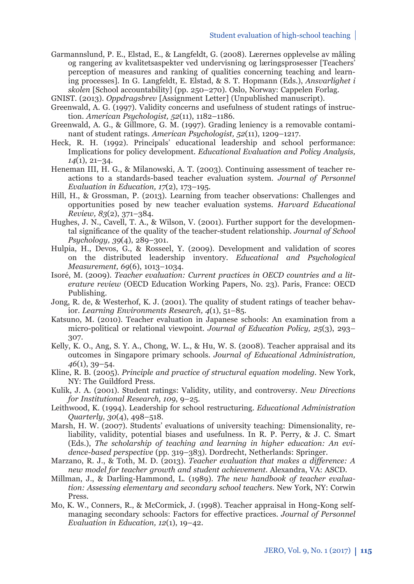- Garmannslund, P. E., Elstad, E., & Langfeldt, G. (2008). Lærernes opplevelse av måling og rangering av kvalitetsaspekter ved undervisning og læringsprosesser [Teachers' perception of measures and ranking of qualities concerning teaching and learning processes]. In G. Langfeldt, E. Elstad, & S. T. Hopmann (Eds.), *Ansvarlighet i skolen* [School accountability] (pp. 250–270). Oslo, Norway: Cappelen Forlag.
- GNIST. (2013). *Oppdragsbrev* [Assignment Letter] (Unpublished manuscript).
- Greenwald, A. G. (1997). Validity concerns and usefulness of student ratings of instruction*. American Psychologist, 52*(11), 1182*–*1186.
- Greenwald, A. G., & Gillmore, G. M. (1997). Grading leniency is a removable contaminant of student ratings. *American Psychologist, 52*(11), 1209*–*1217.
- Heck, R. H. (1992). Principals' educational leadership and school performance: Implications for policy development. *Educational Evaluation and Policy Analysis, 14*(1), 21–34.
- Heneman III, H. G., & Milanowski, A. T. (2003). Continuing assessment of teacher reactions to a standards-based teacher evaluation system. *Journal of Personnel Evaluation in Education, 17*(2), 173–195.
- Hill, H., & Grossman, P. (2013). Learning from teacher observations: Challenges and opportunities posed by new teacher evaluation systems. *Harvard Educational Review, 83*(2), 371*–*384.
- Hughes, J. N., Cavell, T. A., & Wilson, V. (2001). Further support for the developmental significance of the quality of the teacher-student relationship. *Journal of School Psychology, 39*(4), 289–301.
- Hulpia, H., Devos, G., & Rosseel, Y. (2009). Development and validation of scores on the distributed leadership inventory. *Educational and Psychological Measurement, 69*(6), 1013–1034.
- Isoré, M. (2009). *Teacher evaluation: Current practices in OECD countries and a literature review* (OECD Education Working Papers, No. 23). Paris, France: OECD Publishing.
- Jong, R. de, & Westerhof, K. J. (2001). The quality of student ratings of teacher behavior. *Learning Environments Research, 4*(1), 51–85.
- Katsuno, M. (2010). Teacher evaluation in Japanese schools: An examination from a micro-political or relational viewpoint. *Journal of Education Policy, 25*(3), 293*–* 307.
- Kelly, K. O., Ang, S. Y. A., Chong, W. L., & Hu, W. S. (2008). Teacher appraisal and its outcomes in Singapore primary schools. *Journal of Educational Administration, 46*(1), 39–54.
- Kline, R. B. (2005). *Principle and practice of structural equation modeling.* New York, NY: The Guildford Press.
- Kulik, J. A. (2001). Student ratings: Validity, utility, and controversy. *New Directions for Institutional Research, 109*, 9–25.
- Leithwood, K. (1994). Leadership for school restructuring. *Educational Administration Quarterly, 30*(4), 498–518.
- Marsh, H. W. (2007). Students' evaluations of university teaching: Dimensionality, reliability, validity, potential biases and usefulness. In R. P. Perry, & J. C. Smart (Eds.), *The scholarship of teaching and learning in higher education: An evidence-based perspective* (pp. 319*–*383). Dordrecht, Netherlands: Springer.
- Marzano, R. J., & Toth, M. D. (2013). *Teacher evaluation that makes a difference: A new model for teacher growth and student achievement.* Alexandra, VA: ASCD.
- Millman, J., & Darling-Hammond, L. (1989). *The new handbook of teacher evaluation: Assessing elementary and secondary school teachers.* New York, NY: Corwin Press.
- Mo, K. W., Conners, R., & McCormick, J. (1998). Teacher appraisal in Hong-Kong selfmanaging secondary schools: Factors for effective practices. *Journal of Personnel Evaluation in Education, 12*(1), 19–42.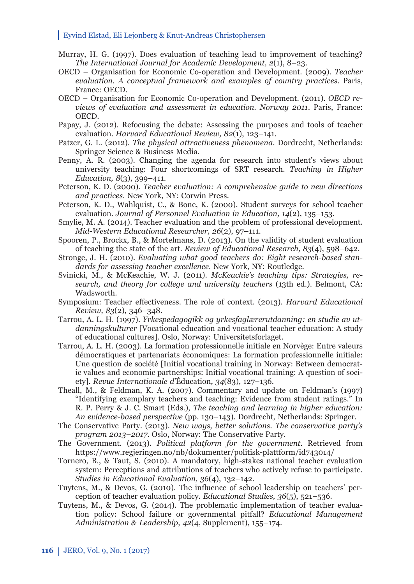- Murray, H. G. (1997). Does evaluation of teaching lead to improvement of teaching? *The International Journal for Academic Development, 2*(1), 8–23.
- OECD Organisation for Economic Co-operation and Development. (2009). *Teacher evaluation. A conceptual framework and examples of country practices*. Paris, France: OECD.
- OECD Organisation for Economic Co-operation and Development. (2011). *OECD reviews of evaluation and assessment in education. Norway 2011*. Paris, France: OECD.
- Papay, J. (2012). Refocusing the debate: Assessing the purposes and tools of teacher evaluation. *Harvard Educational Review, 82*(1), 123–141.
- Patzer, G. L. (2012). *The physical attractiveness phenomena*. Dordrecht, Netherlands: Springer Science & Business Media.
- Penny, A. R. (2003). Changing the agenda for research into student's views about university teaching: Four shortcomings of SRT research. *Teaching in Higher Education, 8*(3), 399–411.
- Peterson, K. D. (2000). *Teacher evaluation: A comprehensive guide to new directions and practices.* New York, NY: Corwin Press.
- Peterson, K. D., Wahlquist, C., & Bone, K. (2000). Student surveys for school teacher evaluation. *Journal of Personnel Evaluation in Education, 14*(2), 135–153.
- Smylie, M. A. (2014). Teacher evaluation and the problem of professional development. *Mid-Western Educational Researcher, 26*(2), 97–111.
- Spooren, P., Brockx, B., & Mortelmans, D. (2013). On the validity of student evaluation of teaching the state of the art. *Review of Educational Research, 83*(4), 598–642.
- Stronge, J. H. (2010). *Evaluating what good teachers do: Eight research-based standards for assessing teacher excellence*. New York, NY: Routledge.
- Svinicki, M., & McKeachie, W. J. (2011). *McKeachie's teaching tips: Strategies, research, and theory for college and university teachers* (13th ed.). Belmont, CA: Wadsworth.
- Symposium: Teacher effectiveness. The role of context. (2013). *Harvard Educational Review, 83*(2), 346–348.
- Tarrou, A. L. H. (1997). *Yrkespedagogikk og yrkesfaglærerutdanning: en studie av utdanningskulturer* [Vocational education and vocational teacher education: A study of educational cultures]*.* Oslo, Norway: Universitetsforlaget.
- Tarrou, A. L. H. (2003). La formation professionnelle initiale en Norvège: Entre valeurs démocratiques et partenariats économiques: La formation professionnelle initiale: Une question de société [Initial vocational training in Norway: Between democratic values and economic partnerships: Initial vocational training: A question of society]. *Revue Internationale d'*Éducation*, 34*(83), 127–136.
- Theall, M., & Feldman, K. A. (2007). Commentary and update on Feldman's (1997) "Identifying exemplary teachers and teaching: Evidence from student ratings." In R. P. Perry & J. C. Smart (Eds.), *The teaching and learning in higher education: An evidence-based perspective* (pp. 130–143). Dordrecht, Netherlands: Springer.
- The Conservative Party. (2013). *New ways, better solutions. The conservative party's program 2013–2017*. Oslo, Norway: The Conservative Party.
- The Government. (2013). *Political platform for the government*. Retrieved from https://www.regjeringen.no/nb/dokumenter/politisk-plattform/id743014/
- Tornero, B., & Taut, S. (2010). A mandatory, high-stakes national teacher evaluation system: Perceptions and attributions of teachers who actively refuse to participate. *Studies in Educational Evaluation, 36*(4), 132–142.
- Tuytens, M., & Devos, G. (2010). The influence of school leadership on teachers' perception of teacher evaluation policy. *Educational Studies, 36*(5), 521–536.
- Tuytens, M., & Devos, G. (2014). The problematic implementation of teacher evaluation policy: School failure or governmental pitfall? *Educational Management Administration & Leadership, 42*(4, Supplement), 155–174.